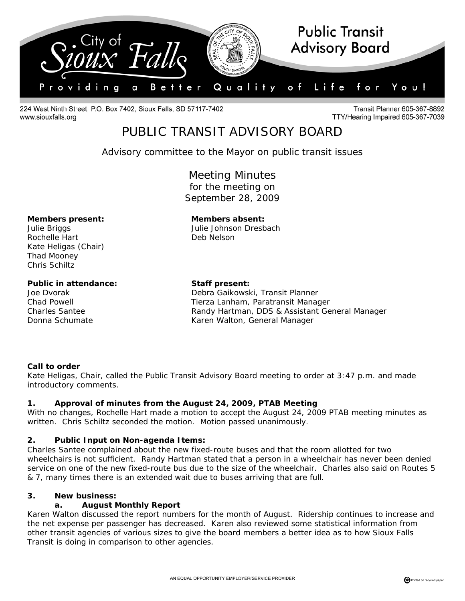

224 West Ninth Street, P.O. Box 7402, Sioux Falls, SD 57117-7402 www.siouxfalls.org

**Transit Planner 605-367-8892** TTY/Hearing Impaired 605-367-7039

# PUBLIC TRANSIT ADVISORY BOARD

*Advisory committee to the Mayor on public transit issues* 

Meeting Minutes for the meeting on September 28, 2009

#### **Members present: Members absent:**

Rochelle Hart Deb Nelson Kate Heligas (Chair) Thad Mooney Chris Schiltz

## Public in attendance: Staff present:

Julie Briggs Julie Johnson Dresbach

Joe Dvorak **Debra Gaikowski, Transit Planner** Chad Powell Tierza Lanham, Paratransit Manager Charles Santee Randy Hartman, DDS & Assistant General Manager Donna Schumate Karen Walton, General Manager

### **Call to order**

Kate Heligas, Chair, called the Public Transit Advisory Board meeting to order at 3:47 p.m. and made introductory comments.

### **1. Approval of minutes from the August 24, 2009, PTAB Meeting**

With no changes, Rochelle Hart made a motion to accept the August 24, 2009 PTAB meeting minutes as written. Chris Schiltz seconded the motion. Motion passed unanimously.

### **2. Public Input on Non-agenda Items:**

Charles Santee complained about the new fixed-route buses and that the room allotted for two wheelchairs is not sufficient. Randy Hartman stated that a person in a wheelchair has never been denied service on one of the new fixed-route bus due to the size of the wheelchair. Charles also said on Routes 5 & 7, many times there is an extended wait due to buses arriving that are full.

### **3. New business:**

### **a. August Monthly Report**

Karen Walton discussed the report numbers for the month of August. Ridership continues to increase and the net expense per passenger has decreased. Karen also reviewed some statistical information from other transit agencies of various sizes to give the board members a better idea as to how Sioux Falls Transit is doing in comparison to other agencies.